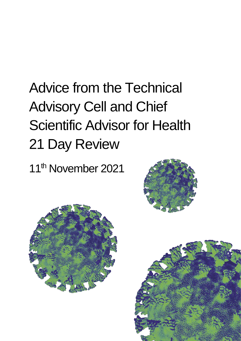# Advice from the Technical Advisory Cell and Chief Scientific Advisor for Health 21 Day Review

11th November 2021





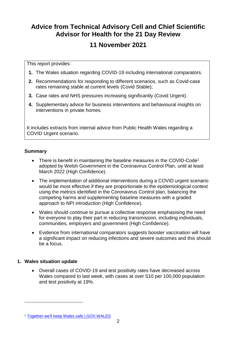### **Advice from Technical Advisory Cell and Chief Scientific Advisor for Health for the 21 Day Review**

### **11 November 2021**

This report provides:

- **1.** The Wales situation regarding COVID-19 including international comparators.
- **2.** Recommendations for responding to different scenarios, such as Covid-case rates remaining stable at current levels (Covid Stable);
- **3.** Case rates and NHS pressures increasing significantly (Covid Urgent).
- **4.** Supplementary advice for business interventions and behavioural insights on interventions in private homes.

It includes extracts from internal advice from Public Health Wales regarding a COVID Urgent scenario.

#### **Summary**

- There is benefit in maintaining the baseline measures in the COVID-Code<sup>1</sup> adopted by Welsh Government in the Coronavirus Control Plan, until at least March 2022 (High Confidence).
- The implementation of additional interventions during a COVID urgent scenario would be most effective if they are proportionate to the epidemiological context using the metrics identified in the Coronavirus Control plan, balancing the competing harms and supplementing baseline measures with a graded approach to NPI introduction (High Confidence).
- Wales should continue to pursue a collective response emphasising the need for everyone to play their part in reducing transmission, including individuals, communities, employers and government (High Confidence).
- Evidence from international comparators suggests booster vaccination will have a significant impact on reducing infections and severe outcomes and this should be a focus.

#### **1. Wales situation update**

l

 Overall cases of COVID-19 and test positivity rates have decreased across Wales compared to last week, with cases at over 510 per 100,000 population and test positivity at 19%.

<sup>1</sup> [Together we'll keep Wales safe | GOV.WALES](https://gov.wales/together-well-keep-wales-safe)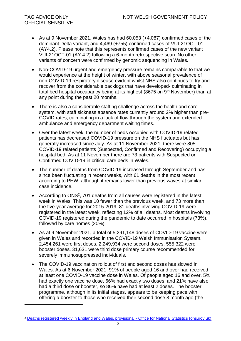- As at 9 November 2021, Wales has had 60,053 (+4,087) confirmed cases of the dominant Delta variant, and 4,469 (+755) confirmed cases of VUI-21OCT-01 (AY4.2). Please note that this represents confirmed cases of the new variant VUI-21OCT-01 (AY.4.2) following a 6-month retrospective scan. No other variants of concern were confirmed by genomic sequencing in Wales.
- Non-COVID-19 urgent and emergency pressure remains comparable to that we would experience at the height of winter, with above seasonal prevalence of non-COVID-19 respiratory disease evident whilst NHS also continues to try and recover from the considerable backlogs that have developed- culminating in total bed hospital occupancy being at its highest (8675 on  $9<sup>th</sup>$  November) than at any point during the past 20 months.
- There is also a considerable staffing challenge across the health and care system, with staff sickness absence rates currently around 2% higher than pre-COVID rates, culminating in a lack of flow through the system and extended ambulance and emergency department waiting times.
- Over the latest week, the number of beds occupied with COVID-19 related patients has decreased.COVID-19 pressure on the NHS fluctuates but has generally increased since July. As at 11 November 2021, there were 805 COVID-19 related patients (Suspected, Confirmed and Recovering) occupying a hospital bed. As at 11 November there are 73 patients with Suspected or Confirmed COVID-19 in critical care beds in Wales.
- The number of deaths from COVID-19 increased through September and has since been fluctuating in recent weeks, with 61 deaths in the most recent according to PHW, although it remains lower than previous waves at similar case incidence.
- According to ONS<sup>2</sup>, 701 deaths from all causes were registered in the latest week in Wales. This was 10 fewer than the previous week, and 73 more than the five-year average for 2015-2019. 81 deaths involving COVID-19 were registered in the latest week, reflecting 12% of all deaths. Most deaths involving COVID-19 registered during the pandemic to date occurred in hospitals (73%), followed by care homes (20%).
- As at 9 November 2021, a total of 5,291,148 doses of COVID-19 vaccine were given in Wales and recorded in the COVID-19 Welsh Immunisation System. 2,454,261 were first doses. 2,249,934 were second doses. 555,322 were booster doses. 31,631 were third dose primary course recommended for severely immunosuppressed individuals.
- The COVID-19 vaccination rollout of first and second doses has slowed in Wales. As at 6 November 2021, 91% of people aged 16 and over had received at least one COVID-19 vaccine dose in Wales. Of people aged 16 and over, 5% had exactly one vaccine dose, 66% had exactly two doses, and 21% have also had a third dose or booster, so 86% have had at least 2 doses. The booster programme, although in its initial stages, appears to be keeping pace with offering a booster to those who received their second dose 8 month ago (the

<sup>&</sup>lt;sup>2</sup> [Deaths registered weekly in England and Wales, provisional -](https://www.ons.gov.uk/peoplepopulationandcommunity/birthsdeathsandmarriages/deaths/bulletins/deathsregisteredweeklyinenglandandwalesprovisional/latest) Office for National Statistics (ons.gov.uk)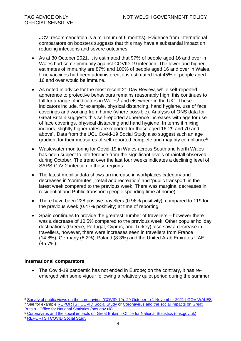JCVI recommendation is a minimum of 6 months). Evidence from international comparators on boosters suggests that this may have a substantial impact on reducing infections and severe outcomes.

- As at 30 October 2021, it is estimated that 97% of people aged 16 and over in Wales had some immunity against COVID-19 infection. The lower and higher estimates of immunity are 87% and 100% of people aged 16 and over in Wales. If no vaccines had been administered, it is estimated that 45% of people aged 16 and over would be immune.
- As noted in advice for the most recent 21 Day Review, while self-reported adherence to protective behaviours remains reasonably high, this continues to fall for a range of indicators in Wales<sup>3</sup> and elsewhere in the UK<sup>4</sup>. These indicators include, for example, physical distancing, hand hygiene, use of face coverings and working from home (where possible). Analysis of ONS data for Great Britain suggests this self-reported adherence increases with age for use of face coverings, physical distancing and hand hygiene. In terms if mixing indoors, slightly higher rates are reported for those aged 16-29 and 70 and above<sup>5</sup>. Data from the UCL Covid-19 Social Study also suggest such an age gradient for their measures of self-reported complete and majority compliance $6$ .
- Wastewater monitoring for Covid-19 in Wales across South and North Wales has been subject to interference from the significant levels of rainfall observed during October. The trend over the last four weeks indicates a declining level of SARS-CoV-2 infection in these regions.
- The latest mobility data shows an increase in workplaces category and decreases in 'commutes', 'retail and recreation' and 'public transport' in the latest week compared to the previous week. There was marginal decreases in residential and Public transport (people spending time at home).
- There have been 228 positive travellers (0.96% positivity), compared to 119 for the previous week (0.47% positivity) at time of reporting.
- Spain continues to provide the greatest number of travellers however there was a decrease of 10.5% compared to the previous week. Other popular holiday destinations (Greece, Portugal, Cyprus, and Turkey) also saw a decrease in travellers, however, there were increases seen in travellers from France (14.8%), Germany (8.2%), Poland (8.3%) and the United Arab Emirates UAE (45.7%).

#### **International comparators**

 $\overline{a}$ 

 The Covid-19 pandemic has not ended in Europe; on the contrary, it has reemerged with some vigour following a relatively quiet period during the summer

<sup>&</sup>lt;sup>3</sup> [Survey of public views on the coronavirus \(COVID-19\): 29 October to 1 November 2021 | GOV.WALES](https://gov.wales/survey-public-views-coronavirus-covid-19-29-october-1-november-2021) <sup>4</sup> See for example [REPORTS | COVID Social Study](https://www.covidsocialstudy.org/results) or Coronavirus and the social impacts on Great Britain - [Office for National Statistics \(ons.gov.uk\)](https://www.ons.gov.uk/peoplepopulationandcommunity/healthandsocialcare/healthandwellbeing/datasets/coronavirusandthesocialimpactsongreatbritaindata)

<sup>5</sup> [Coronavirus and the social impacts on Great Britain -](https://www.ons.gov.uk/peoplepopulationandcommunity/healthandsocialcare/healthandwellbeing/datasets/coronavirusandthesocialimpactsongreatbritaindata) Office for National Statistics (ons.gov.uk)

<sup>6</sup> [REPORTS | COVID Social Study](https://www.covidsocialstudy.org/results)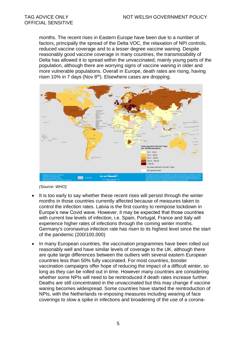months. The recent rises in Eastern Europe have been due to a number of factors, principally the spread of the Delta VOC, the relaxation of NPI controls, reduced vaccine coverage and to a lesser degree vaccine waning. Despite reasonably good vaccine coverage in many countries, the transmissibility of Delta has allowed it to spread within the unvaccinated, mainly young parts of the population, although there are worrying signs of vaccine waning in older and more vulnerable populations. Overall in Europe, death rates are rising, having risen 10% in 7 days (Nov  $8<sup>th</sup>$ ). Elsewhere cases are dropping.



*(Source: WHO)*

- It is too early to say whether these recent rises will persist through the winter months in those countries currently affected because of measures taken to control the infection rates. Latvia is the first country to reimpose lockdown in Europe's new Covid wave. However, it may be expected that those countries with current low levels of infection, i.e. Spain, Portugal, France and Italy will experience higher rates of infections through the coming winter months. Germany's coronavirus infection rate has risen to its highest level since the start of the pandemic (200/100,000)
- In many European countries, the vaccination programmes have been rolled out reasonably well and have similar levels of coverage to the UK, although there are quite large differences between the outliers with several eastern European countries less than 50% fully vaccinated. For most countries, booster vaccination campaigns offer hope of reducing the impact of a difficult winter, so long as they can be rolled out in time. However many countries are considering whether some NPIs will need to be reintroduced if death rates increase further. Deaths are still concentrated in the unvaccinated but this may change if vaccine waning becomes widespread. Some countries have started the reintroduction of NPIs, with the Netherlands re-imposing measures including wearing of face coverings to slow a spike in infections and broadening of the use of a corona-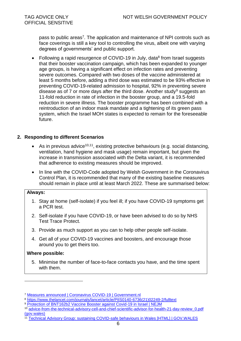pass to public areas<sup>7</sup>. The application and maintenance of NPI controls such as face coverings is still a key tool to controlling the virus, albeit one with varying degrees of governments' and public support.

• Following a rapid resurgence of COVID-19 in July, data $8$  from Israel suggests that their booster vaccination campaign, which has been expanded to younger age groups, is having a significant effect on infection rates and preventing severe outcomes. Compared with two doses of the vaccine administered at least 5 months before, adding a third dose was estimated to be 93% effective in preventing COVID-19-related admission to hospital, 92% in preventing severe disease as of 7 or more days after the third dose. Another study<sup>9</sup> suggests an 11-fold reduction in rate of infection in the booster group, and a 19.5-fold reduction in severe illness. The booster programme has been combined with a reintroduction of an indoor mask mandate and a tightening of its green pass system, which the Israel MOH states is expected to remain for the foreseeable future.

#### **2. Responding to different Scenarios**

- As in previous advice<sup>10,11</sup>, existing protective behaviours (e.g. social distancing, ventilation, hand hygiene and mask usage) remain important, but given the increase in transmission associated with the Delta variant, it is recommended that adherence to existing measures should be improved.
- In line with the COVID-Code adopted by Welsh Government in the Coronavirus Control Plan, it is recommended that many of the existing baseline measures should remain in place until at least March 2022. These are summarised below:

#### **Always:**

- 1. Stay at home (self-isolate) if you feel ill; if you have COVID-19 symptoms get a PCR test.
- 2. Self-isolate if you have COVID-19, or have been advised to do so by NHS Test Trace Protect.
- 3. Provide as much support as you can to help other people self-isolate.
- 4. Get all of your COVID-19 vaccines and boosters, and encourage those around you to get theirs too.

#### **Where possible:**

l

5. Minimise the number of face-to-face contacts you have, and the time spent with them.

<sup>7</sup> [Measures announced | Coronavirus COVID-19 | Government.nl](https://www.government.nl/topics/coronavirus-covid-19/tackling-new-coronavirus-in-the-netherlands/measures-announced)

<sup>8</sup> [https://www.thelancet.com/journals/lancet/article/PIIS0140-6736\(21\)02249-2/fulltext](https://www.thelancet.com/journals/lancet/article/PIIS0140-6736(21)02249-2/fulltext)

<sup>9</sup> [Protection of BNT162b2 Vaccine Booster against Covid-19 in Israel | NEJM](https://www.nejm.org/doi/full/10.1056/NEJMoa2114255?)

<sup>10</sup> [advice-from-the-technical-advisory-cell-and-chief-scientific-advisor-for-health-21-day-review\\_0.pdf](https://gov.wales/sites/default/files/publications/2021-10/advice-from-the-technical-advisory-cell-and-chief-scientific-advisor-for-health-21-day-review_0.pdf)  [\(gov.wales\)](https://gov.wales/sites/default/files/publications/2021-10/advice-from-the-technical-advisory-cell-and-chief-scientific-advisor-for-health-21-day-review_0.pdf)

<sup>11</sup> [Technical Advisory Group: sustaining COVID-safe behaviours in Wales \[HTML\] | GOV.WALES](https://gov.wales/technical-advisory-group-sustaining-covid-safe-behaviours-wales-html)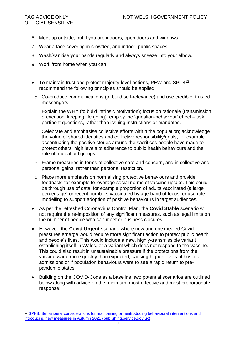- 6. Meet-up outside, but if you are indoors, open doors and windows.
- 7. Wear a face covering in crowded, and indoor, public spaces.
- 8. Wash/sanitise your hands regularly and always sneeze into your elbow.
- 9. Work from home when you can.
- To maintain trust and protect maiority-level-actions, PHW and SPI-B<sup>12</sup> recommend the following principles should be applied:
	- o Co-produce communications (to build self-relevance) and use credible, trusted messengers.
	- $\circ$  Explain the WHY (to build intrinsic motivation); focus on rationale (transmission prevention, keeping life going); employ the 'question-behaviour' effect – ask pertinent questions, rather than issuing instructions or mandates.
	- $\circ$  Celebrate and emphasise collective efforts within the population; acknowledge the value of shared identities and collective responsibility/goals, for example accentuating the positive stories around the sacrifices people have made to protect others, high levels of adherence to public health behaviours and the role of mutual aid groups.
	- o Frame measures in terms of collective care and concern, and in collective and personal gains, rather than personal restriction.
	- o Place more emphasis on normalising protective behaviours and provide feedback, for example to leverage social norms of vaccine uptake. This could be through use of data, for example proportion of adults vaccinated (a large percentage) or recent numbers vaccinated by age band of focus, or use role modelling to support adoption of positive behaviours in target audiences.
- As per the refreshed Coronavirus Control Plan, the **Covid Stable** scenario will not require the re-imposition of any significant measures, such as legal limits on the number of people who can meet or business closures.
- However, the **Covid Urgent** scenario where new and unexpected Covid pressures emerge would require more significant action to protect public health and people's lives. This would include a new, highly-transmissible variant establishing itself in Wales, or a variant which does not respond to the vaccine. This could also result in unsustainable pressure if the protections from the vaccine wane more quickly than expected, causing higher levels of hospital admissions or if population behaviours were to see a rapid return to prepandemic states.
- Building on the COVID-Code as a baseline, two potential scenarios are outlined below along with advice on the minimum, most effective and most proportionate response:

<sup>12</sup> [SPI-B: Behavioural considerations for maintaining or reintroducing behavioural interventions and](https://assets.publishing.service.gov.uk/government/uploads/system/uploads/attachment_data/file/1027840/S1394_SPI-B_Behavioural_considerations_for_maintaining_or_reintroducing_behavioural_interventions_and_introducing_new_measures_in_Autumn_2021.pdf)  [introducing new measures in Autumn 2021 \(publishing.service.gov.uk\)](https://assets.publishing.service.gov.uk/government/uploads/system/uploads/attachment_data/file/1027840/S1394_SPI-B_Behavioural_considerations_for_maintaining_or_reintroducing_behavioural_interventions_and_introducing_new_measures_in_Autumn_2021.pdf)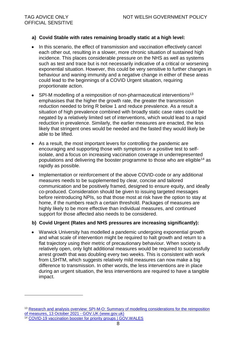#### **a) Covid Stable with rates remaining broadly static at a high level:**

- In this scenario, the effect of transmission and vaccination effectively cancel each other out, resulting in a slower, more chronic situation of sustained high incidence. This places considerable pressure on the NHS as well as systems such as test and trace but is not necessarily indicative of a critical or worsening exponential situation. However, this could be very sensitive to further changes in behaviour and waning immunity and a negative change in either of these areas could lead to the beginnings of a COVID Urgent situation, requiring proportionate action.
- $\bullet$  SPI-M modelling of a reimposition of non-pharmaceutical interventions<sup>13</sup> emphasises that the higher the growth rate, the greater the transmission reduction needed to bring R below 1 and reduce prevalence. As a result a situation of high prevalence combined with broadly static case rates could be negated by a relatively limited set of interventions, which would lead to a rapid reduction in prevalence. Similarly, the earlier measures are enacted, the less likely that stringent ones would be needed and the fasted they would likely be able to be lifted.
- As a result, the most important levers for controlling the pandemic are encouraging and supporting those with symptoms or a positive test to selfisolate, and a focus on increasing vaccination coverage in underrepresented populations and delivering the booster programme to those who are eligible<sup>14</sup> as rapidly as possible.
- Implementation or reinforcement of the above COVID-code or any additional measures needs to be supplemented by clear, concise and tailored communication and be positively framed, designed to ensure equity, and ideally co-produced. Consideration should be given to issuing targeted messages before reintroducing NPIs, so that those most at risk have the option to stay at home, if the numbers reach a certain threshold. Packages of measures are highly likely to be more effective than individual measures, and continued support for those affected also needs to be considered.

#### **b) Covid Urgent (Rates and NHS pressures are increasing significantly):**

 Warwick University has modelled a pandemic undergoing exponential growth and what scale of intervention might be required to halt growth and return to a flat trajectory using their metric of precautionary behaviour. When society is relatively open, only light additional measures would be required to successfully arrest growth that was doubling every two weeks. This is consistent with work from LSHTM, which suggests relatively mild measures can now make a big difference to transmission. In other words, the less interventions are in place during an urgent situation, the less interventions are required to have a tangible impact.

<sup>&</sup>lt;sup>13</sup> Research and analysis overview: SPI-M-O: Summary of modelling considerations for the reimposition [of measures, 13 October 2021 -](https://www.gov.uk/government/publications/spi-m-o-summary-of-modelling-considerations-for-the-reimposition-of-measures-13-october-2021) GOV.UK (www.gov.uk)

<sup>14</sup> [COVID-19 vaccination booster for priority groups | GOV.WALES](https://gov.wales/covid-19-vaccination-booster-priority-groups)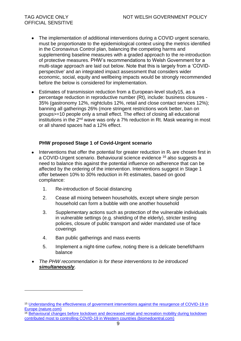- The implementation of additional interventions during a COVID urgent scenario, must be proportionate to the epidemiological context using the metrics identified in the Coronavirus Control plan, balancing the competing harms and supplementing baseline measures with a graded approach to the re-introduction of protective measures. PHW's recommendations to Welsh Government for a multi-stage approach are laid out below. Note that this is largely from a 'COVIDperspective' and an integrated impact assessment that considers wider economic, social, equity and wellbeing impacts would be strongly recommended before the below is considered for implementation.
- Estimates of transmission reduction from a European-level study15, as a percentage reduction in reproductive number (Rt), include: business closures - 35% (gastronomy 12%, nightclubs 12%, retail and close contact services 12%); banning all gatherings 26% (more stringent restrictions work better, ban on groups>=10 people only a small effect. The effect of closing all educational institutions in the  $2<sup>nd</sup>$  wave was only a 7% reduction in Rt. Mask wearing in most or all shared spaces had a 12% effect.

#### **PHW proposed Stage 1 of Covid-Urgent scenario**

- $\bullet$  Interventions that offer the potential for greater reduction in  $R_t$  are chosen first in a COVID-Urgent scenario. Behavioural science evidence <sup>16</sup> also suggests a need to balance this against the potential influence on adherence that can be affected by the ordering of the intervention. Interventions suggest in Stage 1 offer between 10% to 30% reduction in Rt estimates, based on good compliance:
	- 1. Re-introduction of Social distancing
	- 2. Cease all mixing between households, except where single person household can form a bubble with one another household
	- 3. Supplementary actions such as protection of the vulnerable individuals in vulnerable settings (e.g. shielding of the elderly), stricter testing policies, closure of public transport and wider mandated use of face coverings
	- 4. Ban public gatherings and mass events

l

- 5. Implement a night-time curfew, noting there is a delicate benefit/harm balance
- *The PHW recommendation is for these interventions to be introduced simultaneously.*

<sup>16</sup> Behavioural [changes before lockdown and decreased retail and recreation mobility during lockdown](https://bmcpublichealth.biomedcentral.com/track/pdf/10.1186/s12889-021-10676-1.pdf)  [contributed most to controlling COVID-19 in Western countries \(biomedcentral.com\)](https://bmcpublichealth.biomedcentral.com/track/pdf/10.1186/s12889-021-10676-1.pdf)

<sup>15</sup> [Understanding the effectiveness of government interventions against the resurgence of COVID-19 in](https://www.nature.com/articles/s41467-021-26013-4.pdf)  [Europe \(nature.com\)](https://www.nature.com/articles/s41467-021-26013-4.pdf)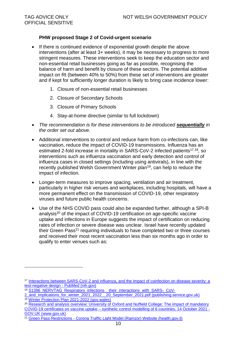l

#### **PHW proposed Stage 2 of Covid-urgent scenario**

- If there is continued evidence of exponential growth despite the above interventions (after at least 3+ weeks), it may be necessary to progress to more stringent measures. These interventions seek to keep the education sector and non-essential retail businesses going as far as possible, recognising the balance of harm and benefit by closure of these sectors. The potential additive impact on Rt (between 40% to 50%) from these set of interventions are greater and if kept for sufficiently longer duration is likely to bring case incidence lower:
	- 1. Closure of non-essential retail businesses
	- 2. Closure of Secondary Schools
	- 3. Closure of Primary Schools
	- 4. Stay-at-home directive (similar to full lockdown)
- *The recommendation is for these interventions to be introduced sequentially in the order set out above.*
- Additional interventions to control and reduce harm from co-infections can, like vaccination, reduce the impact of COVID-19 transmissions. Influenza has an estimated 2-fold increase in mortality in  $SARS-CoV-2$  infected patients<sup>17,18</sup>, so interventions such as influenza vaccination and early detection and control of influenza cases in closed settings (including using antivirals), in line with the recently published Welsh Government Winter plan<sup>19</sup>, can help to reduce the impact of infection.
- Longer-term measures to improve spacing, ventilation and air treatment, particularly in higher risk venues and workplaces, including hospitals, will have a more permanent effect on the transmission of COVID-19, other respiratory viruses and future public health concerns.
- Use of the NHS COVID pass could also be expanded further, although a SPI-B analysis<sup>20</sup> of the impact of COVID-19 certification on age-specific vaccine uptake and infections in Europe suggests the impact of certification on reducing rates of infection or severe disease was unclear. Israel have recently updated their Green Pass<sup>21</sup> requiring individuals to have completed two or three courses and received their most recent vaccination less than six months ago in order to qualify to enter venues such as:

<sup>17</sup> [Interactions between SARS-CoV-2 and influenza, and the impact of coinfection on disease severity: a](https://pubmed.ncbi.nlm.nih.gov/33942104/)  [test-negative design -](https://pubmed.ncbi.nlm.nih.gov/33942104/) PubMed (nih.gov)

<sup>&</sup>lt;sup>18</sup> [S1396\\_NERVTAG\\_Respiratory\\_infections\\_\\_their\\_interactions\\_with\\_SARS-\\_CoV-](https://assets.publishing.service.gov.uk/government/uploads/system/uploads/attachment_data/file/1027606/S1396_NERVTAG_Respiratory_infections__their_interactions_with_SARS-_CoV-2_and_implications_for_winter_2021_2022__20_September_2021.pdf)

[<sup>2</sup>\\_and\\_implications\\_for\\_winter\\_2021\\_2022\\_\\_20\\_September\\_2021.pdf \(publishing.service.gov.uk\)](https://assets.publishing.service.gov.uk/government/uploads/system/uploads/attachment_data/file/1027606/S1396_NERVTAG_Respiratory_infections__their_interactions_with_SARS-_CoV-2_and_implications_for_winter_2021_2022__20_September_2021.pdf) <sup>19</sup> [Winter Protection Plan 2021-2022 \(gov.wales\)](https://gov.wales/sites/default/files/publications/2021-10/health-and-social-care--winter-plan-2021-to-2022.pdf)

<sup>&</sup>lt;sup>20</sup> Research and analysis overview: University of Oxford and Nuffield College: The impact of mandatory COVID-19 certificates on vaccine uptake – [synthetic control modelling of 6 countries, 14 October 2021 -](https://www.gov.uk/government/publications/university-of-oxford-and-nuffield-college-the-impact-of-mandatory-covid-19-certificates-on-vaccine-uptake-synthetic-control-modelling-of-6-countrie) [GOV.UK \(www.gov.uk\)](https://www.gov.uk/government/publications/university-of-oxford-and-nuffield-college-the-impact-of-mandatory-covid-19-certificates-on-vaccine-uptake-synthetic-control-modelling-of-6-countrie)

<sup>21</sup> Green Pass Restrictions - [Corona Traffic Light Model \(Ramzor\) Website \(health.gov.il\)](https://corona.health.gov.il/en/directives/green-pass-info/)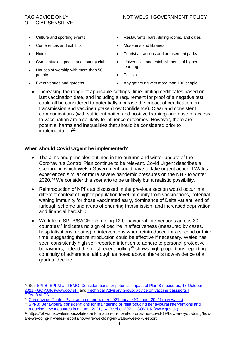- Culture and sporting events
- Conferences and exhibits
- Hotels

l

- Gyms, studios, pools, and country clubs
- Houses of worship with more than 50 people
- Event venues and gardens
- Restaurants, bars, dining rooms, and cafes
- Museums and libraries
- Tourist attractions and amusement parks
- Universities and establishments of higher learning
- Festivals
- Any gathering with more than 100 people
- Increasing the range of applicable settings, time-limiting certificates based on last vaccination date, and including a requirement for proof of a negative test, could all be considered to potentially increase the impact of certification on transmission and vaccine uptake (Low Confidence). Clear and consistent communications (with sufficient notice and positive framing) and ease of access to vaccination are also likely to influence outcomes. However, there are potential harms and inequalities that should be considered prior to implementation<sup>22</sup>.

#### **When should Covid Urgent be implemented?**

- The aims and principles outlined in the autumn and winter update of the Coronavirus Control Plan continue to be relevant. Covid Urgent describes a scenario in which Welsh Government could have to take urgent action if Wales experienced similar or more severe pandemic pressures on the NHS to winter 2020.<sup>23</sup> We consider this scenario to be unlikely but a realistic possibility.
- Reintroduction of NPI's as discussed in the previous section would occur in a different context of higher population level immunity from vaccinations, potential waning immunity for those vaccinated early, dominance of Delta variant, end of furlough scheme and areas of enduring transmission, and increased deprivation and financial hardship.
- Work from SPI-B/SAGE examining 12 behavioural interventions across 30 countries<sup>24</sup> indicates no sign of decline in effectiveness (measured by cases, hospitalisations, deaths) of interventions when reintroduced for a second or third time, suggesting that reintroduction could be effective if necessary. Wales has seen consistently high self-reported intention to adhere to personal protective behaviours; indeed the most recent polling<sup>25</sup> shows high proportions reporting continuity of adherence, although as noted above, there is now evidence of a gradual decline.

<sup>23</sup> [Coronavirus Control Plan: autumn and winter 2021 update \(October 2021\) \(gov.wales\)](https://gov.wales/sites/default/files/publications/2021-10/coronavirus-control-plan-autumn-and-winter-2021-update.pdf)

<sup>&</sup>lt;sup>22</sup> See SPI-B, SPI-M and EMG: Considerations for potential impact of Plan B measures, 13 October 2021 - [GOV.UK \(www.gov.uk\)](https://www.gov.uk/government/publications/spi-b-spi-m-and-emg-considerations-for-potential-impact-of-plan-b-measures-13-october-2021) and [Technical Advisory Group: advice on vaccine passports |](https://gov.wales/technical-advisory-group-advice-vaccine-passports)  [GOV.WALES](https://gov.wales/technical-advisory-group-advice-vaccine-passports)

<sup>24</sup> [SPI-B: Behavioural considerations for maintaining or reintroducing behavioural interventions and](https://www.gov.uk/government/publications/spi-b-behavioural-considerations-for-maintaining-or-reintroducing-behavioural-interventions-and-introducing-new-measures-in-autumn-2021-14-october-2)  [introducing new measures in autumn 2021, 14 October 2021 -](https://www.gov.uk/government/publications/spi-b-behavioural-considerations-for-maintaining-or-reintroducing-behavioural-interventions-and-introducing-new-measures-in-autumn-2021-14-october-2) GOV.UK (www.gov.uk)

<sup>25</sup> https://phw.nhs.wales/topics/latest-information-on-novel-coronavirus-covid-19/how-are-you-doing/howare-we-doing-in-wales-reports/how-are-we-doing-in-wales-week-78-report/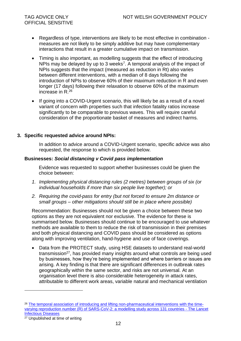- Regardless of type, interventions are likely to be most effective in combination measures are not likely to be simply additive but may have complementary interactions that result in a greater cumulative impact on transmission.
- Timing is also important, as modelling suggests that the effect of introducing NPIs may be delayed by up to 3 weeks<sup>7</sup>. A temporal analysis of the impact of NPIs suggests that the impact (measured as reduction in Rt) also varies between different interventions, with a median of 8 days following the introduction of NPIs to observe 60% of their maximum reduction in R and even longer (17 days) following their relaxation to observe 60% of the maximum increase in R.<sup>26</sup>
- If going into a COVID-Urgent scenario, this will likely be as a result of a novel variant of concern with properties such that infection fatality ratios increase significantly to be comparable to previous waves. This will require careful consideration of the proportionate basket of measures and indirect harms.

#### **3. Specific requested advice around NPIs:**

In addition to advice around a COVID-Urgent scenario, specific advice was also requested, the response to which is provided below.

#### **Businesses:** *Social distancing v Covid pass implementation*

Evidence was requested to support whether businesses could be given the choice between:

- *1. Implementing physical distancing rules (2 metres) between groups of six (or individual households if more than six people live together); or*
- *2. Requiring the covid-pass for entry (but not forced to ensure 2m distance or small groups – other mitigations should still be in place where possible)*

Recommendation: Businesses should not be given a choice between these two options as they are not equivalent nor exclusive. The evidence for these is summarised below. Businesses should continue to be encouraged to use whatever methods are available to them to reduce the risk of transmission in their premises and both physical distancing and COVID pass should be considered as options along with improving ventilation, hand-hygiene and use of face coverings.

• Data from the PROTECT study, using HSE datasets to understand real-world transmission<sup>27</sup>, has provided many insights around what controls are being used by businesses, how they're being implemented and where barriers or issues are arising. A key finding is that there are significant differences in outbreak rates geographically within the same sector, and risks are not universal. At an organisation level there is also considerable heterogeneity in attack rates, attributable to different work areas, variable natural and mechanical ventilation

<sup>&</sup>lt;sup>26</sup> [The temporal association of introducing and lifting non-pharmaceutical interventions with the time](https://www.thelancet.com/journals/laninf/article/PIIS1473-3099(20)30785-4/fulltext?fbclid=IwAR3eU_FYsuVc-iYHMhLd8I8AHXxOfbMB8sBjQasVpW1V6DNxufl5LZr8Ohk))[varying reproduction number \(R\) of SARS-CoV-2: a modelling study across 131 countries -](https://www.thelancet.com/journals/laninf/article/PIIS1473-3099(20)30785-4/fulltext?fbclid=IwAR3eU_FYsuVc-iYHMhLd8I8AHXxOfbMB8sBjQasVpW1V6DNxufl5LZr8Ohk)) The Lancet [Infectious Diseases](https://www.thelancet.com/journals/laninf/article/PIIS1473-3099(20)30785-4/fulltext?fbclid=IwAR3eU_FYsuVc-iYHMhLd8I8AHXxOfbMB8sBjQasVpW1V6DNxufl5LZr8Ohk))

<sup>27</sup> Unpublished at time of writing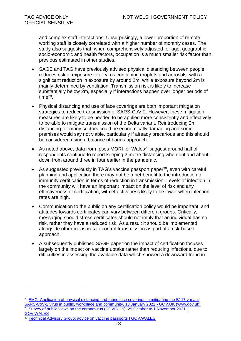and complex staff interactions. Unsurprisingly, a lower proportion of remote working staff is closely correlated with a higher number of monthly cases. The study also suggests that, when comprehensively adjusted for age, geographic, socio-economic and health factors, occupation is a much smaller risk factor than previous estimated in other studies.

- SAGE and TAG have previously advised physical distancing between people reduces risk of exposure to all virus containing droplets and aerosols, with a significant reduction in exposure by around 2m, while exposure beyond 2m is mainly determined by ventilation. Transmission risk is likely to increase substantially below 2m, especially if interactions happen over longer periods of time $^{28}$ .
- Physical distancing and use of face coverings are both important mitigation strategies to reduce transmission of SARS-CoV-2. However, these mitigation measures are likely to be needed to be applied more consistently and effectively to be able to mitigate transmission of the Delta variant. Reintroducing 2m distancing for many sectors could be economically damaging and some premises would say not viable, particularly if already precarious and this should be considered using a balance of harms approach.
- As noted above, data from Ipsos MORI for Wales<sup>29</sup> suggest around half of respondents continue to report keeping 2 metre distancing when out and about, down from around three in four earlier in the pandemic.
- As suggested previously in TAG's vaccine passport paper<sup>30</sup>, even with careful planning and application there may not be a net benefit to the introduction of immunity certification in terms of reduction in transmission. Levels of infection in the community will have an important impact on the level of risk and any effectiveness of certification, with effectiveness likely to be lower when infection rates are high.
- Communication to the public on any certification policy would be important, and attitudes towards certificates can vary between different groups. Critically, messaging should stress certificates should not imply that an individual has no risk, rather they have a reduced risk. As a result it should be implemented alongside other measures to control transmission as part of a risk-based approach.
- A subsequently published SAGE paper on the impact of certification focuses largely on the impact on vaccine uptake rather than reducing infections, due to difficulties in assessing the available data which showed a downward trend in

 $\overline{a}$ 

<sup>&</sup>lt;sup>28</sup> EMG: Application of physical distancing and fabric face coverings in mitigating the B117 variant [SARS-CoV-2 virus in public, workplace and community, 13 January 2021 -](https://www.gov.uk/government/publications/emg-application-of-physical-distancing-and-fabric-face-coverings-in-mitigating-the-b117-variant-sars-cov-2-virus-in-public-workplace-and-community) GOV.UK (www.gov.uk) <sup>29</sup> Survey of public views on the coronavirus (COVID-19): 29 October to 1 November 2021 | [GOV.WALES](https://gov.wales/survey-public-views-coronavirus-covid-19-29-october-1-november-2021)

<sup>30</sup> [Technical Advisory Group: advice on vaccine passports | GOV.WALES](https://gov.wales/technical-advisory-group-advice-vaccine-passports)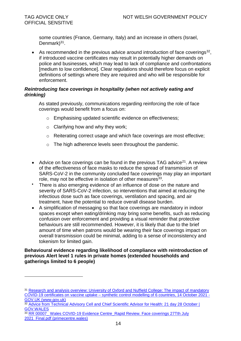l

some countries (France, Germany, Italy) and an increase in others (Israel, Denmark)<sup>31</sup>.

• As recommended in the previous advice around introduction of face coverings $^{32}$ , if introduced vaccine certificates may result in potentially higher demands on police and businesses, which may lead to lack of compliance and confrontations [medium to low confidence]. Clear regulations should therefore focus on explicit definitions of settings where they are required and who will be responsible for enforcement.

#### *Reintroducing face coverings in hospitality (when not actively eating and drinking)*

As stated previously, communications regarding reinforcing the role of face coverings would benefit from a focus on:

- o Emphasising updated scientific evidence on effectiveness;
- $\circ$  Clarifying how and why they work:
- o Reiterating correct usage and which face coverings are most effective;
- $\circ$  The high adherence levels seen throughout the pandemic.
- Advice on face coverings can be found in the previous TAG advice<sup>21</sup>. A review of the effectiveness of face masks to reduce the spread of transmission of SARS-CoV-2 in the community concluded face coverings may play an important role, may not be effective in isolation of other measures $^{33}$ .
- There is also emerging evidence of an influence of dose on the nature and severity of SARS-CoV-2 infection, so interventions that aimed at reducing the infectious dose such as face coverings, ventilation and spacing, and air treatment, have the potential to reduce overall disease burden.
- A simplification of messaging so that face coverings are mandatory in indoor spaces except when eating/drinking may bring some benefits, such as reducing confusion over enforcement and providing a visual reminder that protective behaviours are still recommended. However, it is likely that due to the brief amount of time when patrons would be wearing their face coverings impact on overall transmission could be minimal, adding to a sense of inconsistency and tokenism for limited gain.

**Behavioural evidence regarding likelihood of compliance with reintroduction of previous Alert level 1 rules in private homes (extended households and gatherings limited to 6 people)**

33 RR 00007\_ Wales COVID-19 Evidence Centre\_Rapid Review. Face coverings 27Tth July 2021 Final.pdf (primecentre.wales)

<sup>&</sup>lt;sup>31</sup> [Research and analysis overview: University of Oxford and Nuffield College: The impact of](https://www.gov.uk/government/publications/university-of-oxford-and-nuffield-college-the-impact-of-mandatory-covid-19-certificates-on-vaccine-uptake-synthetic-control-modelling-of-6-countrie) mandatory COVID-19 certificates on vaccine uptake – [synthetic control modelling of 6 countries, 14 October 2021 -](https://www.gov.uk/government/publications/university-of-oxford-and-nuffield-college-the-impact-of-mandatory-covid-19-certificates-on-vaccine-uptake-synthetic-control-modelling-of-6-countrie) [GOV.UK \(www.gov.uk\)](https://www.gov.uk/government/publications/university-of-oxford-and-nuffield-college-the-impact-of-mandatory-covid-19-certificates-on-vaccine-uptake-synthetic-control-modelling-of-6-countrie)

<sup>32</sup> Advice from Technical Advisory Cell and Chief Scientific Advisor for Health: 21 day 28 October | [GOV.WALES](https://gov.wales/advice-technical-advisory-cell-and-chief-scientific-advisor-health-21-day-28-october)